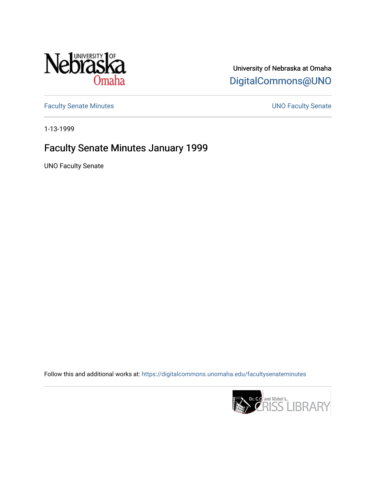

## University of Nebraska at Omaha [DigitalCommons@UNO](https://digitalcommons.unomaha.edu/)

[Faculty Senate Minutes](https://digitalcommons.unomaha.edu/facultysenateminutes) **Exercise Senate UNO Faculty Senate** 

1-13-1999

## Faculty Senate Minutes January 1999

UNO Faculty Senate

Follow this and additional works at: [https://digitalcommons.unomaha.edu/facultysenateminutes](https://digitalcommons.unomaha.edu/facultysenateminutes?utm_source=digitalcommons.unomaha.edu%2Ffacultysenateminutes%2F59&utm_medium=PDF&utm_campaign=PDFCoverPages) 

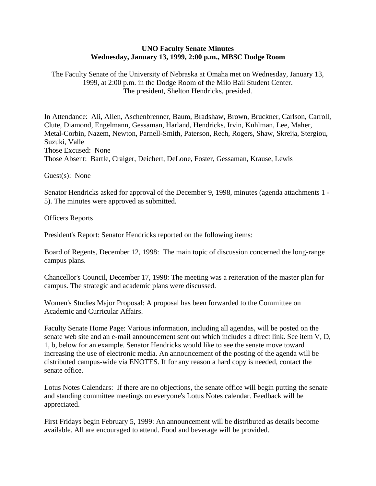## **UNO Faculty Senate Minutes Wednesday, January 13, 1999, 2:00 p.m., MBSC Dodge Room**

The Faculty Senate of the University of Nebraska at Omaha met on Wednesday, January 13, 1999, at 2:00 p.m. in the Dodge Room of the Milo Bail Student Center. The president, Shelton Hendricks, presided.

In Attendance: Ali, Allen, Aschenbrenner, Baum, Bradshaw, Brown, Bruckner, Carlson, Carroll, Clute, Diamond, Engelmann, Gessaman, Harland, Hendricks, Irvin, Kuhlman, Lee, Maher, Metal-Corbin, Nazem, Newton, Parnell-Smith, Paterson, Rech, Rogers, Shaw, Skreija, Stergiou, Suzuki, Valle Those Excused: None Those Absent: Bartle, Craiger, Deichert, DeLone, Foster, Gessaman, Krause, Lewis

Guest(s): None

Senator Hendricks asked for approval of the December 9, 1998, minutes (agenda attachments 1 - 5). The minutes were approved as submitted.

Officers Reports

President's Report: Senator Hendricks reported on the following items:

Board of Regents, December 12, 1998: The main topic of discussion concerned the long-range campus plans.

Chancellor's Council, December 17, 1998: The meeting was a reiteration of the master plan for campus. The strategic and academic plans were discussed.

Women's Studies Major Proposal: A proposal has been forwarded to the Committee on Academic and Curricular Affairs.

Faculty Senate Home Page: Various information, including all agendas, will be posted on the senate web site and an e-mail announcement sent out which includes a direct link. See item V, D, 1, b, below for an example. Senator Hendricks would like to see the senate move toward increasing the use of electronic media. An announcement of the posting of the agenda will be distributed campus-wide via ENOTES. If for any reason a hard copy is needed, contact the senate office.

Lotus Notes Calendars: If there are no objections, the senate office will begin putting the senate and standing committee meetings on everyone's Lotus Notes calendar. Feedback will be appreciated.

First Fridays begin February 5, 1999: An announcement will be distributed as details become available. All are encouraged to attend. Food and beverage will be provided.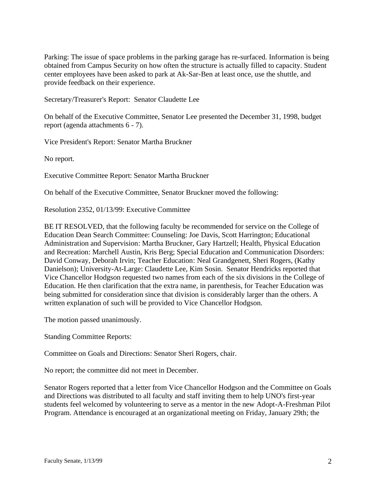Parking: The issue of space problems in the parking garage has re-surfaced. Information is being obtained from Campus Security on how often the structure is actually filled to capacity. Student center employees have been asked to park at Ak-Sar-Ben at least once, use the shuttle, and provide feedback on their experience.

Secretary/Treasurer's Report: Senator Claudette Lee

On behalf of the Executive Committee, Senator Lee presented the December 31, 1998, budget report (agenda attachments 6 - 7).

Vice President's Report: Senator Martha Bruckner

No report.

Executive Committee Report: Senator Martha Bruckner

On behalf of the Executive Committee, Senator Bruckner moved the following:

Resolution 2352, 01/13/99: Executive Committee

BE IT RESOLVED, that the following faculty be recommended for service on the College of Education Dean Search Committee: Counseling: Joe Davis, Scott Harrington; Educational Administration and Supervision: Martha Bruckner, Gary Hartzell; Health, Physical Education and Recreation: Marchell Austin, Kris Berg; Special Education and Communication Disorders: David Conway, Deborah Irvin; Teacher Education: Neal Grandgenett, Sheri Rogers, (Kathy Danielson); University-At-Large: Claudette Lee, Kim Sosin. Senator Hendricks reported that Vice Chancellor Hodgson requested two names from each of the six divisions in the College of Education. He then clarification that the extra name, in parenthesis, for Teacher Education was being submitted for consideration since that division is considerably larger than the others. A written explanation of such will be provided to Vice Chancellor Hodgson.

The motion passed unanimously.

Standing Committee Reports:

Committee on Goals and Directions: Senator Sheri Rogers, chair.

No report; the committee did not meet in December.

Senator Rogers reported that a letter from Vice Chancellor Hodgson and the Committee on Goals and Directions was distributed to all faculty and staff inviting them to help UNO's first-year students feel welcomed by volunteering to serve as a mentor in the new Adopt-A-Freshman Pilot Program. Attendance is encouraged at an organizational meeting on Friday, January 29th; the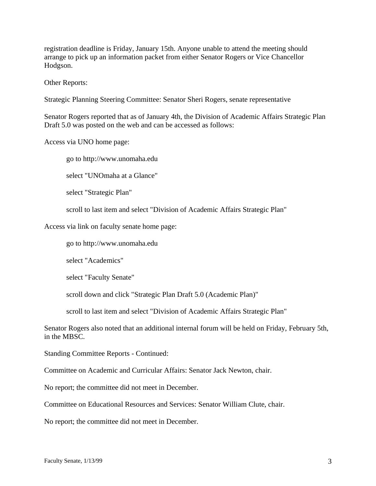registration deadline is Friday, January 15th. Anyone unable to attend the meeting should arrange to pick up an information packet from either Senator Rogers or Vice Chancellor Hodgson.

Other Reports:

Strategic Planning Steering Committee: Senator Sheri Rogers, senate representative

Senator Rogers reported that as of January 4th, the Division of Academic Affairs Strategic Plan Draft 5.0 was posted on the web and can be accessed as follows:

Access via UNO home page:

go to http://www.unomaha.edu

select "UNOmaha at a Glance"

select "Strategic Plan"

scroll to last item and select "Division of Academic Affairs Strategic Plan"

Access via link on faculty senate home page:

go to http://www.unomaha.edu

select "Academics"

select "Faculty Senate"

scroll down and click "Strategic Plan Draft 5.0 (Academic Plan)"

scroll to last item and select "Division of Academic Affairs Strategic Plan"

Senator Rogers also noted that an additional internal forum will be held on Friday, February 5th, in the MBSC.

Standing Committee Reports - Continued:

Committee on Academic and Curricular Affairs: Senator Jack Newton, chair.

No report; the committee did not meet in December.

Committee on Educational Resources and Services: Senator William Clute, chair.

No report; the committee did not meet in December.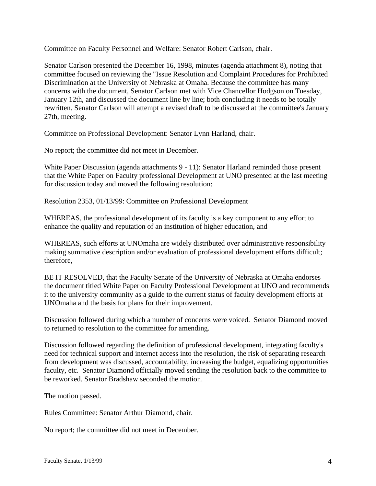Committee on Faculty Personnel and Welfare: Senator Robert Carlson, chair.

Senator Carlson presented the December 16, 1998, minutes (agenda attachment 8), noting that committee focused on reviewing the "Issue Resolution and Complaint Procedures for Prohibited Discrimination at the University of Nebraska at Omaha. Because the committee has many concerns with the document, Senator Carlson met with Vice Chancellor Hodgson on Tuesday, January 12th, and discussed the document line by line; both concluding it needs to be totally rewritten. Senator Carlson will attempt a revised draft to be discussed at the committee's January 27th, meeting.

Committee on Professional Development: Senator Lynn Harland, chair.

No report; the committee did not meet in December.

White Paper Discussion (agenda attachments 9 - 11): Senator Harland reminded those present that the White Paper on Faculty professional Development at UNO presented at the last meeting for discussion today and moved the following resolution:

Resolution 2353, 01/13/99: Committee on Professional Development

WHEREAS, the professional development of its faculty is a key component to any effort to enhance the quality and reputation of an institution of higher education, and

WHEREAS, such efforts at UNOmaha are widely distributed over administrative responsibility making summative description and/or evaluation of professional development efforts difficult; therefore,

BE IT RESOLVED, that the Faculty Senate of the University of Nebraska at Omaha endorses the document titled White Paper on Faculty Professional Development at UNO and recommends it to the university community as a guide to the current status of faculty development efforts at UNOmaha and the basis for plans for their improvement.

Discussion followed during which a number of concerns were voiced. Senator Diamond moved to returned to resolution to the committee for amending.

Discussion followed regarding the definition of professional development, integrating faculty's need for technical support and internet access into the resolution, the risk of separating research from development was discussed, accountability, increasing the budget, equalizing opportunities faculty, etc. Senator Diamond officially moved sending the resolution back to the committee to be reworked. Senator Bradshaw seconded the motion.

The motion passed.

Rules Committee: Senator Arthur Diamond, chair.

No report; the committee did not meet in December.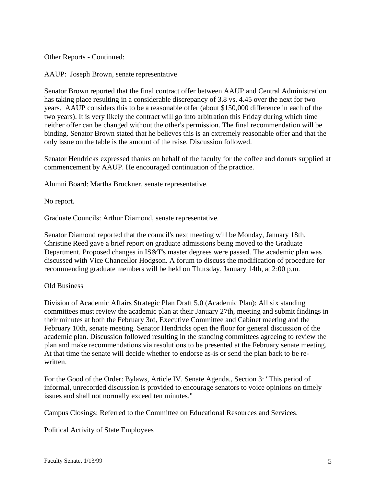Other Reports - Continued:

AAUP: Joseph Brown, senate representative

Senator Brown reported that the final contract offer between AAUP and Central Administration has taking place resulting in a considerable discrepancy of 3.8 vs. 4.45 over the next for two years. AAUP considers this to be a reasonable offer (about \$150,000 difference in each of the two years). It is very likely the contract will go into arbitration this Friday during which time neither offer can be changed without the other's permission. The final recommendation will be binding. Senator Brown stated that he believes this is an extremely reasonable offer and that the only issue on the table is the amount of the raise. Discussion followed.

Senator Hendricks expressed thanks on behalf of the faculty for the coffee and donuts supplied at commencement by AAUP. He encouraged continuation of the practice.

Alumni Board: Martha Bruckner, senate representative.

No report.

Graduate Councils: Arthur Diamond, senate representative.

Senator Diamond reported that the council's next meeting will be Monday, January 18th. Christine Reed gave a brief report on graduate admissions being moved to the Graduate Department. Proposed changes in IS&T's master degrees were passed. The academic plan was discussed with Vice Chancellor Hodgson. A forum to discuss the modification of procedure for recommending graduate members will be held on Thursday, January 14th, at 2:00 p.m.

## Old Business

Division of Academic Affairs Strategic Plan Draft 5.0 (Academic Plan): All six standing committees must review the academic plan at their January 27th, meeting and submit findings in their minutes at both the February 3rd, Executive Committee and Cabinet meeting and the February 10th, senate meeting. Senator Hendricks open the floor for general discussion of the academic plan. Discussion followed resulting in the standing committees agreeing to review the plan and make recommendations via resolutions to be presented at the February senate meeting. At that time the senate will decide whether to endorse as-is or send the plan back to be rewritten.

For the Good of the Order: Bylaws, Article IV. Senate Agenda., Section 3: "This period of informal, unrecorded discussion is provided to encourage senators to voice opinions on timely issues and shall not normally exceed ten minutes."

Campus Closings: Referred to the Committee on Educational Resources and Services.

Political Activity of State Employees